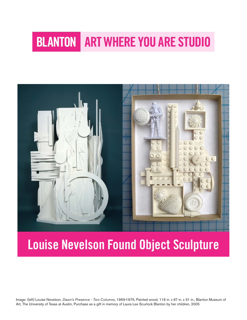# **BLANTON ART WHERE YOU ARE STUDIO**



## Louise Nevelson Found Object Sculpture

Image: (left) Louise Nevelson, *Dawn's Presence - Two Columns*, 1969-1975, Painted wood, 116 in. x 67 in. x 31 in., Blanton Museum of Art, The University of Texas at Austin, Purchase as a gift in memory of Laura Lee Scurlock Blanton by her children, 2005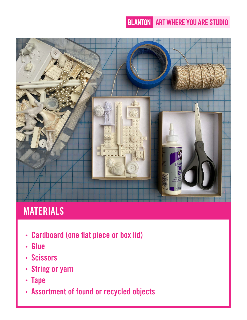### **BLANTON ART WHERE YOU ARE STUDIO**



## MATERIALS

- Cardboard (one flat piece or box lid)
- Glue  $\bullet$
- Scissors
- String or yarn  $\bullet$
- Tape
- Assortment of found or recycled objects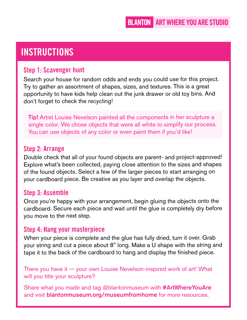## **INSTRUCTIONS**

#### Step 1: Scavenger hunt

Search your house for random odds and ends you could use for this project. Try to gather an assortment of shapes, sizes, and textures. This is a great opportunity to have kids help clean out the junk drawer or old toy bins. And don't forget to check the recycling!

**Tip!** Artist Louise Nevelson painted all the components in her sculpture a single color. We chose objects that were all white to simplify our process. You can use objects of any color or even paint them if you'd like!

#### Step 2: Arrange

Double check that all of your found objects are parent- and project-approved! Explore what's been collected, paying close attention to the sizes and shapes of the found objects. Select a few of the larger pieces to start arranging on your cardboard piece. Be creative as you layer and overlap the objects.

#### Step 3: Assemble

Once you're happy with your arrangement, begin gluing the objects onto the cardboard. Secure each piece and wait until the glue is completely dry before you move to the next step.

#### Step 4: Hang your masterpiece

When your piece is complete and the glue has fully dried, turn it over. Grab your string and cut a piece about 8" long. Make a U shape with the string and tape it to the back of the cardboard to hang and display the finished piece.

There you have it — your own Louise Nevelson-inspired work of art! What will you title your sculpture?

Share what you made and tag @blantonmuseum with #ArtWhereYouAre and visit **blantonmuseum.org/museumfromhome** for more resources.